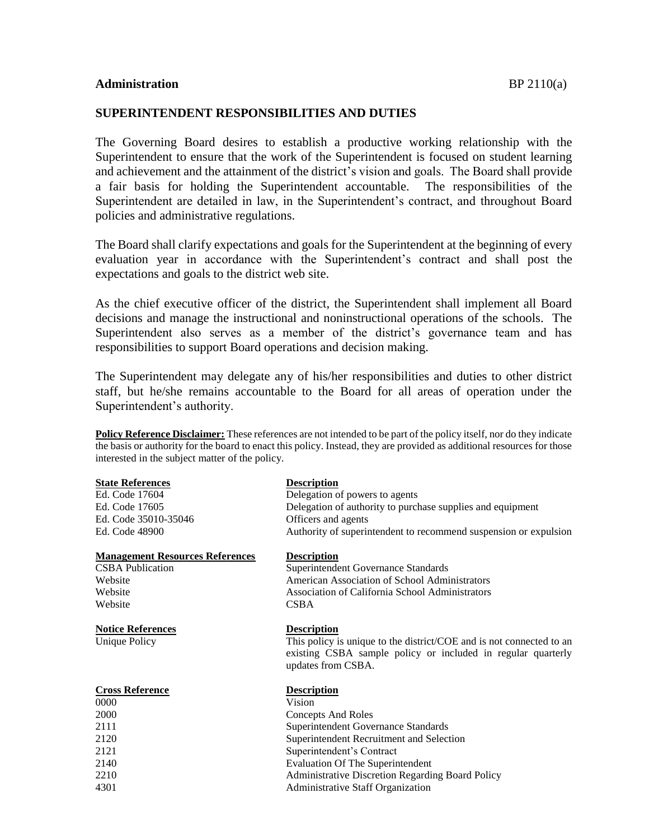## **SUPERINTENDENT RESPONSIBILITIES AND DUTIES**

The Governing Board desires to establish a productive working relationship with the Superintendent to ensure that the work of the Superintendent is focused on student learning and achievement and the attainment of the district's vision and goals. The Board shall provide a fair basis for holding the Superintendent accountable. The responsibilities of the Superintendent are detailed in law, in the Superintendent's contract, and throughout Board policies and administrative regulations.

The Board shall clarify expectations and goals for the Superintendent at the beginning of every evaluation year in accordance with the Superintendent's contract and shall post the expectations and goals to the district web site.

As the chief executive officer of the district, the Superintendent shall implement all Board decisions and manage the instructional and noninstructional operations of the schools. The Superintendent also serves as a member of the district's governance team and has responsibilities to support Board operations and decision making.

The Superintendent may delegate any of his/her responsibilities and duties to other district staff, but he/she remains accountable to the Board for all areas of operation under the Superintendent's authority.

**Policy Reference Disclaimer:** These references are not intended to be part of the policy itself, nor do they indicate the basis or authority for the board to enact this policy. Instead, they are provided as additional resources for those interested in the subject matter of the policy.

| <b>State References</b>                | <b>Description</b>                                                                                                                                         |
|----------------------------------------|------------------------------------------------------------------------------------------------------------------------------------------------------------|
| Ed. Code 17604                         | Delegation of powers to agents                                                                                                                             |
| Ed. Code 17605                         | Delegation of authority to purchase supplies and equipment                                                                                                 |
| Ed. Code 35010-35046                   | Officers and agents                                                                                                                                        |
| Ed. Code 48900                         | Authority of superintendent to recommend suspension or expulsion                                                                                           |
| <b>Management Resources References</b> | <b>Description</b>                                                                                                                                         |
| <b>CSBA</b> Publication                | <b>Superintendent Governance Standards</b>                                                                                                                 |
| Website                                | American Association of School Administrators                                                                                                              |
| Website                                | Association of California School Administrators                                                                                                            |
| Website                                | <b>CSBA</b>                                                                                                                                                |
| <b>Notice References</b>               | <b>Description</b>                                                                                                                                         |
| <b>Unique Policy</b>                   | This policy is unique to the district/COE and is not connected to an<br>existing CSBA sample policy or included in regular quarterly<br>updates from CSBA. |
| <b>Cross Reference</b>                 | <b>Description</b>                                                                                                                                         |
| 0000                                   | Vision                                                                                                                                                     |
| 2000                                   | <b>Concepts And Roles</b>                                                                                                                                  |
| 2111                                   | Superintendent Governance Standards                                                                                                                        |
| 2120                                   | Superintendent Recruitment and Selection                                                                                                                   |
| 2121                                   | Superintendent's Contract                                                                                                                                  |
| 2140                                   | <b>Evaluation Of The Superintendent</b>                                                                                                                    |
| 2210                                   | <b>Administrative Discretion Regarding Board Policy</b>                                                                                                    |
| 4301                                   | Administrative Staff Organization                                                                                                                          |